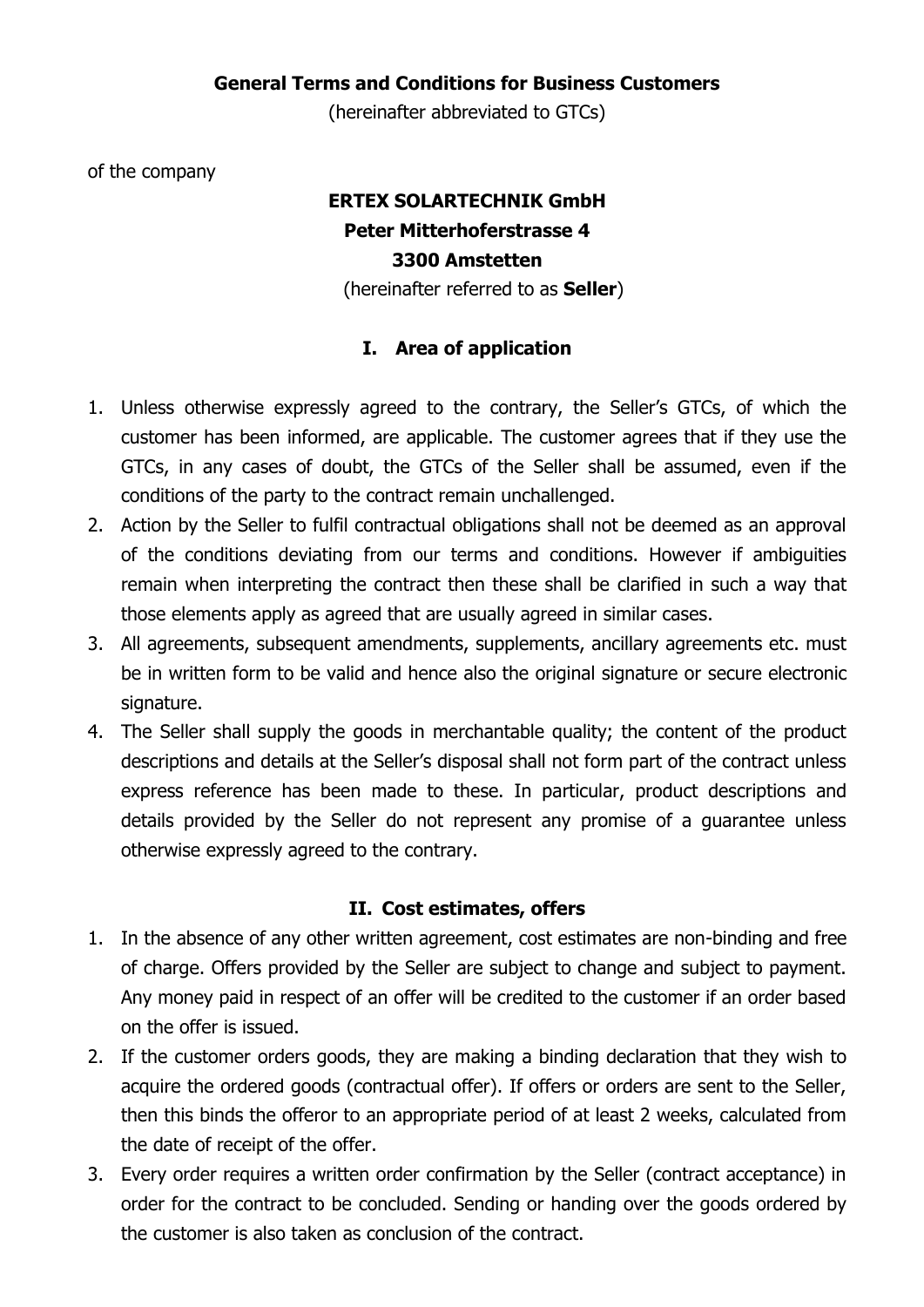## **General Terms and Conditions for Business Customers**

(hereinafter abbreviated to GTCs)

of the company

# **ERTEX SOLARTECHNIK GmbH Peter Mitterhoferstrasse 4 3300 Amstetten**

(hereinafter referred to as **Seller**)

# **I. Area of application**

- 1. Unless otherwise expressly agreed to the contrary, the Seller's GTCs, of which the customer has been informed, are applicable. The customer agrees that if they use the GTCs, in any cases of doubt, the GTCs of the Seller shall be assumed, even if the conditions of the party to the contract remain unchallenged.
- 2. Action by the Seller to fulfil contractual obligations shall not be deemed as an approval of the conditions deviating from our terms and conditions. However if ambiguities remain when interpreting the contract then these shall be clarified in such a way that those elements apply as agreed that are usually agreed in similar cases.
- 3. All agreements, subsequent amendments, supplements, ancillary agreements etc. must be in written form to be valid and hence also the original signature or secure electronic signature.
- 4. The Seller shall supply the goods in merchantable quality; the content of the product descriptions and details at the Seller's disposal shall not form part of the contract unless express reference has been made to these. In particular, product descriptions and details provided by the Seller do not represent any promise of a guarantee unless otherwise expressly agreed to the contrary.

## **II. Cost estimates, offers**

- 1. In the absence of any other written agreement, cost estimates are non-binding and free of charge. Offers provided by the Seller are subject to change and subject to payment. Any money paid in respect of an offer will be credited to the customer if an order based on the offer is issued.
- 2. If the customer orders goods, they are making a binding declaration that they wish to acquire the ordered goods (contractual offer). If offers or orders are sent to the Seller, then this binds the offeror to an appropriate period of at least 2 weeks, calculated from the date of receipt of the offer.
- 3. Every order requires a written order confirmation by the Seller (contract acceptance) in order for the contract to be concluded. Sending or handing over the goods ordered by the customer is also taken as conclusion of the contract.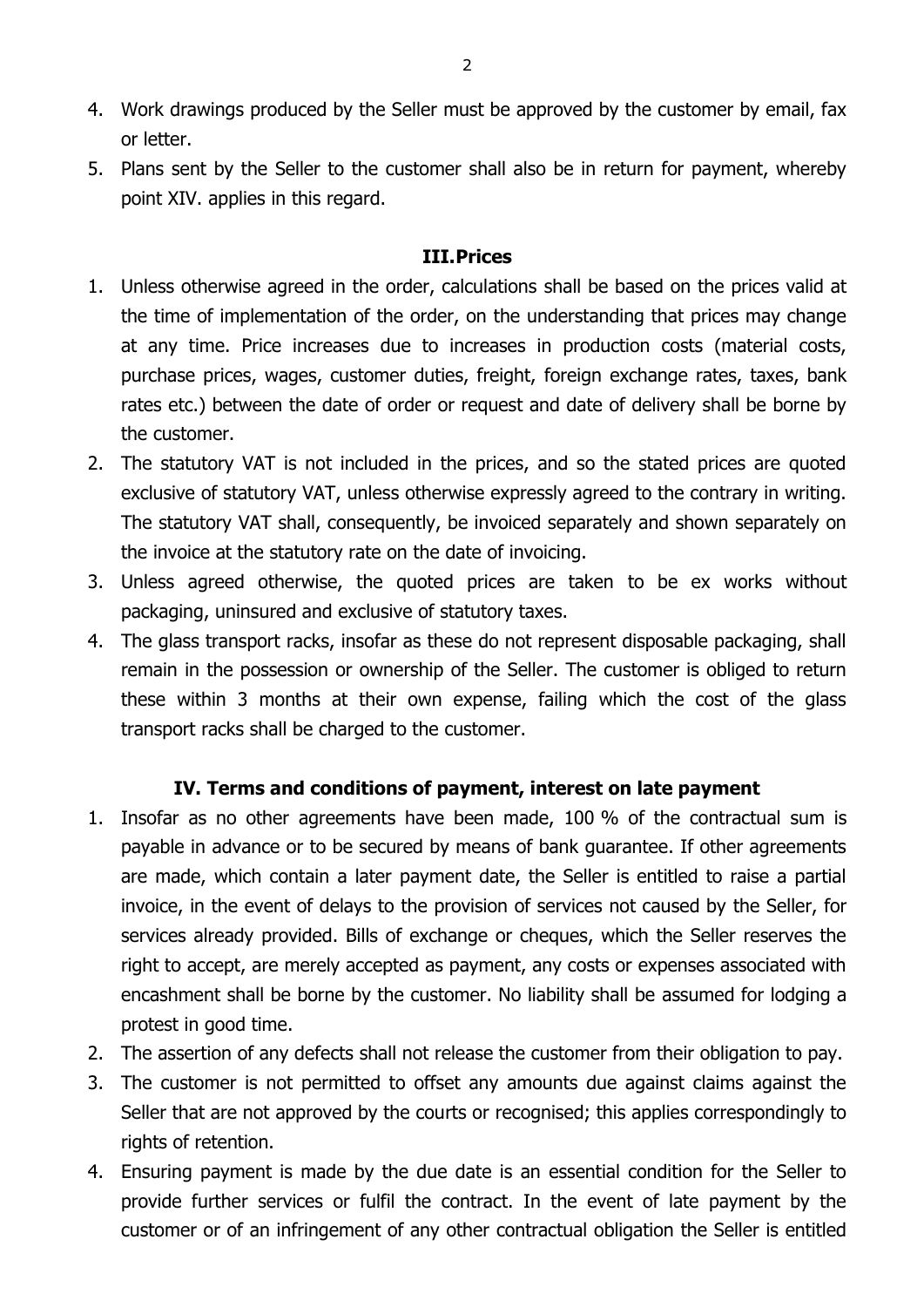- 4. Work drawings produced by the Seller must be approved by the customer by email, fax or letter.
- 5. Plans sent by the Seller to the customer shall also be in return for payment, whereby point XIV. applies in this regard.

#### **III.Prices**

- 1. Unless otherwise agreed in the order, calculations shall be based on the prices valid at the time of implementation of the order, on the understanding that prices may change at any time. Price increases due to increases in production costs (material costs, purchase prices, wages, customer duties, freight, foreign exchange rates, taxes, bank rates etc.) between the date of order or request and date of delivery shall be borne by the customer.
- 2. The statutory VAT is not included in the prices, and so the stated prices are quoted exclusive of statutory VAT, unless otherwise expressly agreed to the contrary in writing. The statutory VAT shall, consequently, be invoiced separately and shown separately on the invoice at the statutory rate on the date of invoicing.
- 3. Unless agreed otherwise, the quoted prices are taken to be ex works without packaging, uninsured and exclusive of statutory taxes.
- 4. The glass transport racks, insofar as these do not represent disposable packaging, shall remain in the possession or ownership of the Seller. The customer is obliged to return these within 3 months at their own expense, failing which the cost of the glass transport racks shall be charged to the customer.

## **IV. Terms and conditions of payment, interest on late payment**

- 1. Insofar as no other agreements have been made, 100 % of the contractual sum is payable in advance or to be secured by means of bank guarantee. If other agreements are made, which contain a later payment date, the Seller is entitled to raise a partial invoice, in the event of delays to the provision of services not caused by the Seller, for services already provided. Bills of exchange or cheques, which the Seller reserves the right to accept, are merely accepted as payment, any costs or expenses associated with encashment shall be borne by the customer. No liability shall be assumed for lodging a protest in good time.
- 2. The assertion of any defects shall not release the customer from their obligation to pay.
- 3. The customer is not permitted to offset any amounts due against claims against the Seller that are not approved by the courts or recognised; this applies correspondingly to rights of retention.
- 4. Ensuring payment is made by the due date is an essential condition for the Seller to provide further services or fulfil the contract. In the event of late payment by the customer or of an infringement of any other contractual obligation the Seller is entitled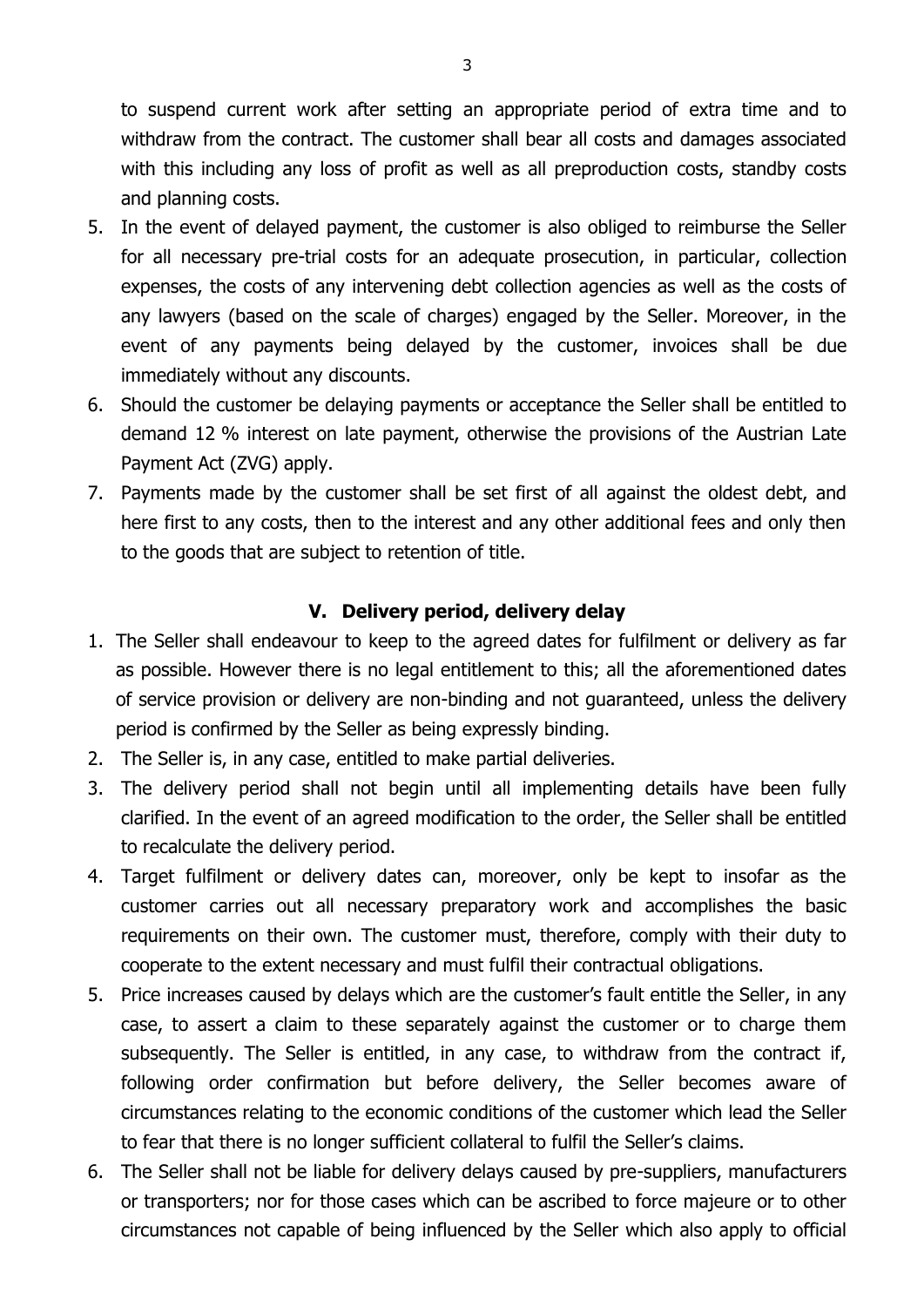to suspend current work after setting an appropriate period of extra time and to withdraw from the contract. The customer shall bear all costs and damages associated with this including any loss of profit as well as all preproduction costs, standby costs and planning costs.

- 5. In the event of delayed payment, the customer is also obliged to reimburse the Seller for all necessary pre-trial costs for an adequate prosecution, in particular, collection expenses, the costs of any intervening debt collection agencies as well as the costs of any lawyers (based on the scale of charges) engaged by the Seller. Moreover, in the event of any payments being delayed by the customer, invoices shall be due immediately without any discounts.
- 6. Should the customer be delaying payments or acceptance the Seller shall be entitled to demand 12 % interest on late payment, otherwise the provisions of the Austrian Late Payment Act (ZVG) apply.
- 7. Payments made by the customer shall be set first of all against the oldest debt, and here first to any costs, then to the interest and any other additional fees and only then to the goods that are subject to retention of title.

# **V. Delivery period, delivery delay**

- 1. The Seller shall endeavour to keep to the agreed dates for fulfilment or delivery as far as possible. However there is no legal entitlement to this; all the aforementioned dates of service provision or delivery are non-binding and not guaranteed, unless the delivery period is confirmed by the Seller as being expressly binding.
- 2. The Seller is, in any case, entitled to make partial deliveries.
- 3. The delivery period shall not begin until all implementing details have been fully clarified. In the event of an agreed modification to the order, the Seller shall be entitled to recalculate the delivery period.
- 4. Target fulfilment or delivery dates can, moreover, only be kept to insofar as the customer carries out all necessary preparatory work and accomplishes the basic requirements on their own. The customer must, therefore, comply with their duty to cooperate to the extent necessary and must fulfil their contractual obligations.
- 5. Price increases caused by delays which are the customer's fault entitle the Seller, in any case, to assert a claim to these separately against the customer or to charge them subsequently. The Seller is entitled, in any case, to withdraw from the contract if, following order confirmation but before delivery, the Seller becomes aware of circumstances relating to the economic conditions of the customer which lead the Seller to fear that there is no longer sufficient collateral to fulfil the Seller's claims.
- 6. The Seller shall not be liable for delivery delays caused by pre-suppliers, manufacturers or transporters; nor for those cases which can be ascribed to force majeure or to other circumstances not capable of being influenced by the Seller which also apply to official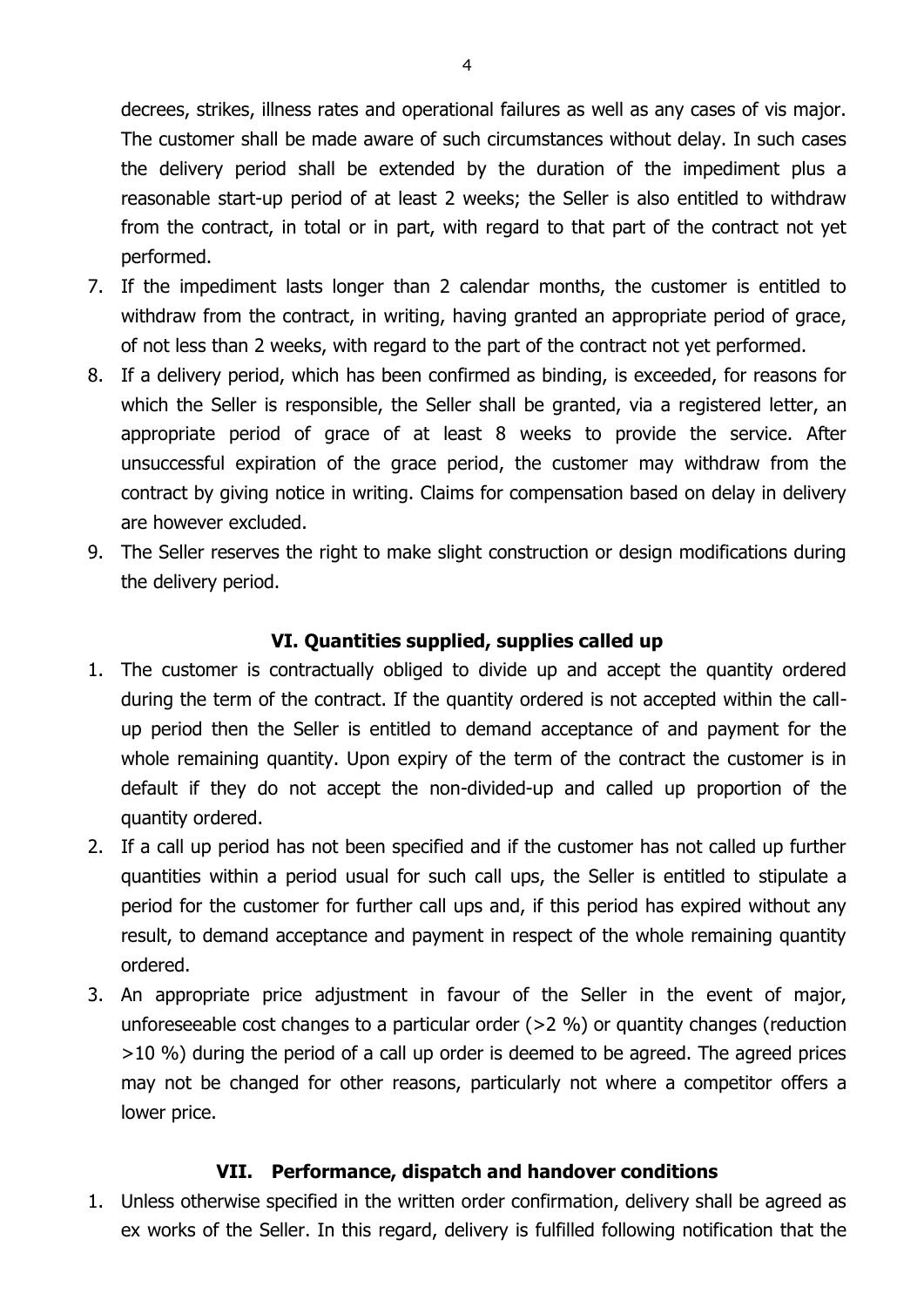decrees, strikes, illness rates and operational failures as well as any cases of vis major. The customer shall be made aware of such circumstances without delay. In such cases the delivery period shall be extended by the duration of the impediment plus a reasonable start-up period of at least 2 weeks; the Seller is also entitled to withdraw from the contract, in total or in part, with regard to that part of the contract not yet performed.

- 7. If the impediment lasts longer than 2 calendar months, the customer is entitled to withdraw from the contract, in writing, having granted an appropriate period of grace, of not less than 2 weeks, with regard to the part of the contract not yet performed.
- 8. If a delivery period, which has been confirmed as binding, is exceeded, for reasons for which the Seller is responsible, the Seller shall be granted, via a registered letter, an appropriate period of grace of at least 8 weeks to provide the service. After unsuccessful expiration of the grace period, the customer may withdraw from the contract by giving notice in writing. Claims for compensation based on delay in delivery are however excluded.
- 9. The Seller reserves the right to make slight construction or design modifications during the delivery period.

## **VI. Quantities supplied, supplies called up**

- 1. The customer is contractually obliged to divide up and accept the quantity ordered during the term of the contract. If the quantity ordered is not accepted within the callup period then the Seller is entitled to demand acceptance of and payment for the whole remaining quantity. Upon expiry of the term of the contract the customer is in default if they do not accept the non-divided-up and called up proportion of the quantity ordered.
- 2. If a call up period has not been specified and if the customer has not called up further quantities within a period usual for such call ups, the Seller is entitled to stipulate a period for the customer for further call ups and, if this period has expired without any result, to demand acceptance and payment in respect of the whole remaining quantity ordered.
- 3. An appropriate price adjustment in favour of the Seller in the event of major, unforeseeable cost changes to a particular order (>2 %) or quantity changes (reduction >10 %) during the period of a call up order is deemed to be agreed. The agreed prices may not be changed for other reasons, particularly not where a competitor offers a lower price.

#### **VII. Performance, dispatch and handover conditions**

1. Unless otherwise specified in the written order confirmation, delivery shall be agreed as ex works of the Seller. In this regard, delivery is fulfilled following notification that the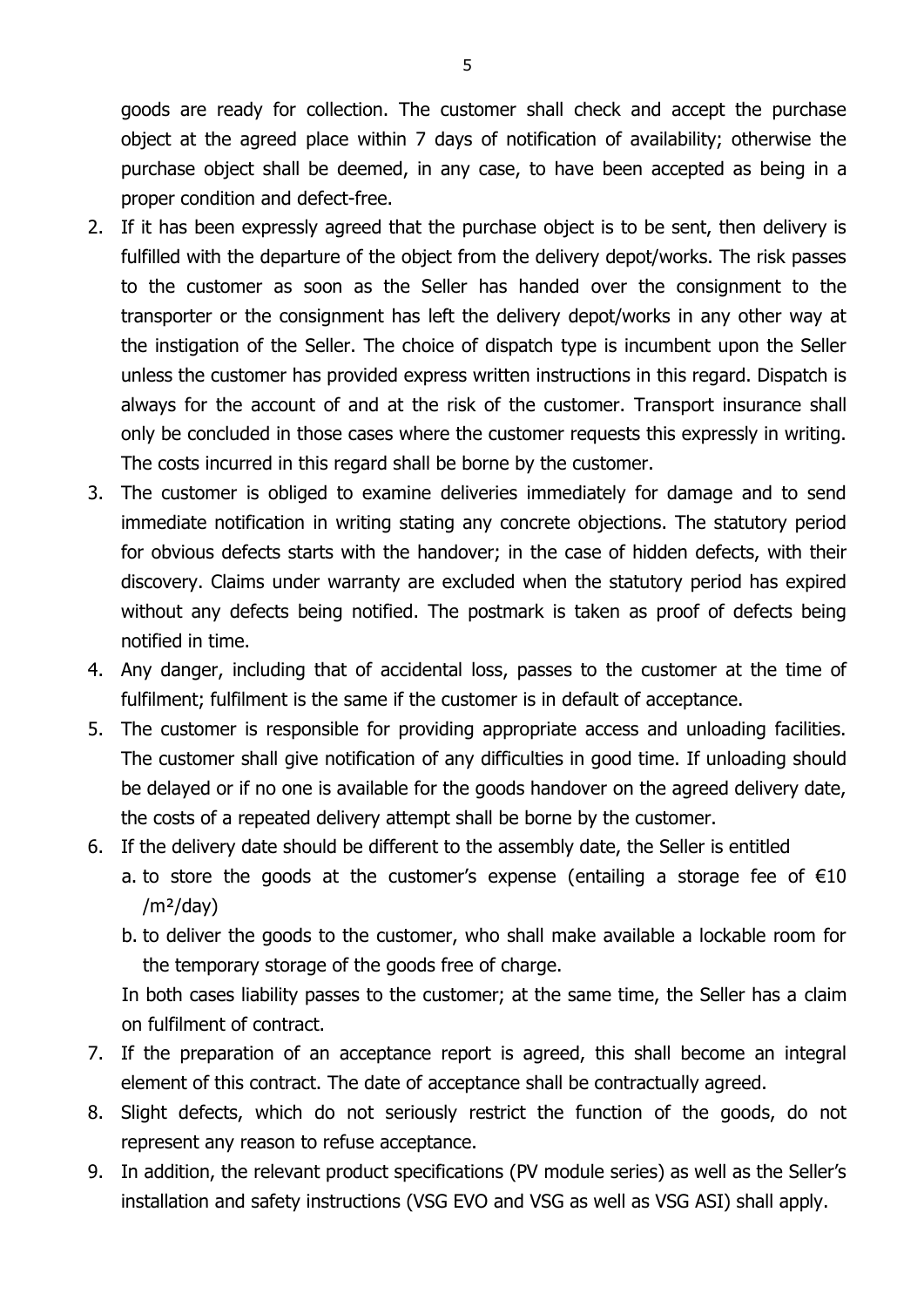goods are ready for collection. The customer shall check and accept the purchase object at the agreed place within 7 days of notification of availability; otherwise the purchase object shall be deemed, in any case, to have been accepted as being in a proper condition and defect-free.

- 2. If it has been expressly agreed that the purchase object is to be sent, then delivery is fulfilled with the departure of the object from the delivery depot/works. The risk passes to the customer as soon as the Seller has handed over the consignment to the transporter or the consignment has left the delivery depot/works in any other way at the instigation of the Seller. The choice of dispatch type is incumbent upon the Seller unless the customer has provided express written instructions in this regard. Dispatch is always for the account of and at the risk of the customer. Transport insurance shall only be concluded in those cases where the customer requests this expressly in writing. The costs incurred in this regard shall be borne by the customer.
- 3. The customer is obliged to examine deliveries immediately for damage and to send immediate notification in writing stating any concrete objections. The statutory period for obvious defects starts with the handover; in the case of hidden defects, with their discovery. Claims under warranty are excluded when the statutory period has expired without any defects being notified. The postmark is taken as proof of defects being notified in time.
- 4. Any danger, including that of accidental loss, passes to the customer at the time of fulfilment; fulfilment is the same if the customer is in default of acceptance.
- 5. The customer is responsible for providing appropriate access and unloading facilities. The customer shall give notification of any difficulties in good time. If unloading should be delayed or if no one is available for the goods handover on the agreed delivery date, the costs of a repeated delivery attempt shall be borne by the customer.
- 6. If the delivery date should be different to the assembly date, the Seller is entitled a. to store the goods at the customer's expense (entailing a storage fee of  $\epsilon 10$  $/m<sup>2</sup>/day)$ 
	- b. to deliver the goods to the customer, who shall make available a lockable room for the temporary storage of the goods free of charge.

In both cases liability passes to the customer; at the same time, the Seller has a claim on fulfilment of contract.

- 7. If the preparation of an acceptance report is agreed, this shall become an integral element of this contract. The date of acceptance shall be contractually agreed.
- 8. Slight defects, which do not seriously restrict the function of the goods, do not represent any reason to refuse acceptance.
- 9. In addition, the relevant product specifications (PV module series) as well as the Seller's installation and safety instructions (VSG EVO and VSG as well as VSG ASI) shall apply.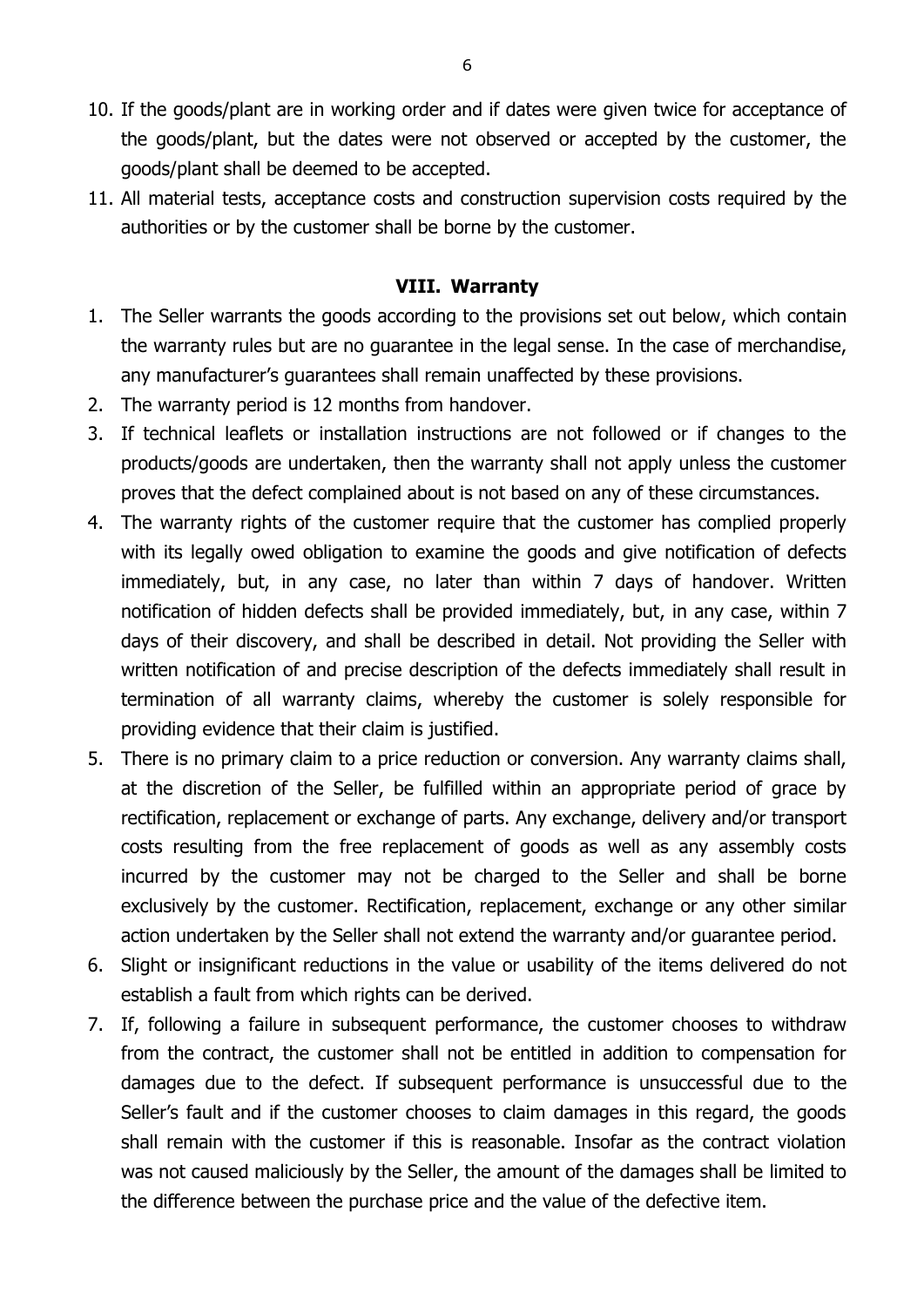- 10. If the goods/plant are in working order and if dates were given twice for acceptance of the goods/plant, but the dates were not observed or accepted by the customer, the goods/plant shall be deemed to be accepted.
- 11. All material tests, acceptance costs and construction supervision costs required by the authorities or by the customer shall be borne by the customer.

#### **VIII. Warranty**

- 1. The Seller warrants the goods according to the provisions set out below, which contain the warranty rules but are no guarantee in the legal sense. In the case of merchandise, any manufacturer's guarantees shall remain unaffected by these provisions.
- 2. The warranty period is 12 months from handover.
- 3. If technical leaflets or installation instructions are not followed or if changes to the products/goods are undertaken, then the warranty shall not apply unless the customer proves that the defect complained about is not based on any of these circumstances.
- 4. The warranty rights of the customer require that the customer has complied properly with its legally owed obligation to examine the goods and give notification of defects immediately, but, in any case, no later than within 7 days of handover. Written notification of hidden defects shall be provided immediately, but, in any case, within 7 days of their discovery, and shall be described in detail. Not providing the Seller with written notification of and precise description of the defects immediately shall result in termination of all warranty claims, whereby the customer is solely responsible for providing evidence that their claim is justified.
- 5. There is no primary claim to a price reduction or conversion. Any warranty claims shall, at the discretion of the Seller, be fulfilled within an appropriate period of grace by rectification, replacement or exchange of parts. Any exchange, delivery and/or transport costs resulting from the free replacement of goods as well as any assembly costs incurred by the customer may not be charged to the Seller and shall be borne exclusively by the customer. Rectification, replacement, exchange or any other similar action undertaken by the Seller shall not extend the warranty and/or guarantee period.
- 6. Slight or insignificant reductions in the value or usability of the items delivered do not establish a fault from which rights can be derived.
- 7. If, following a failure in subsequent performance, the customer chooses to withdraw from the contract, the customer shall not be entitled in addition to compensation for damages due to the defect. If subsequent performance is unsuccessful due to the Seller's fault and if the customer chooses to claim damages in this regard, the goods shall remain with the customer if this is reasonable. Insofar as the contract violation was not caused maliciously by the Seller, the amount of the damages shall be limited to the difference between the purchase price and the value of the defective item.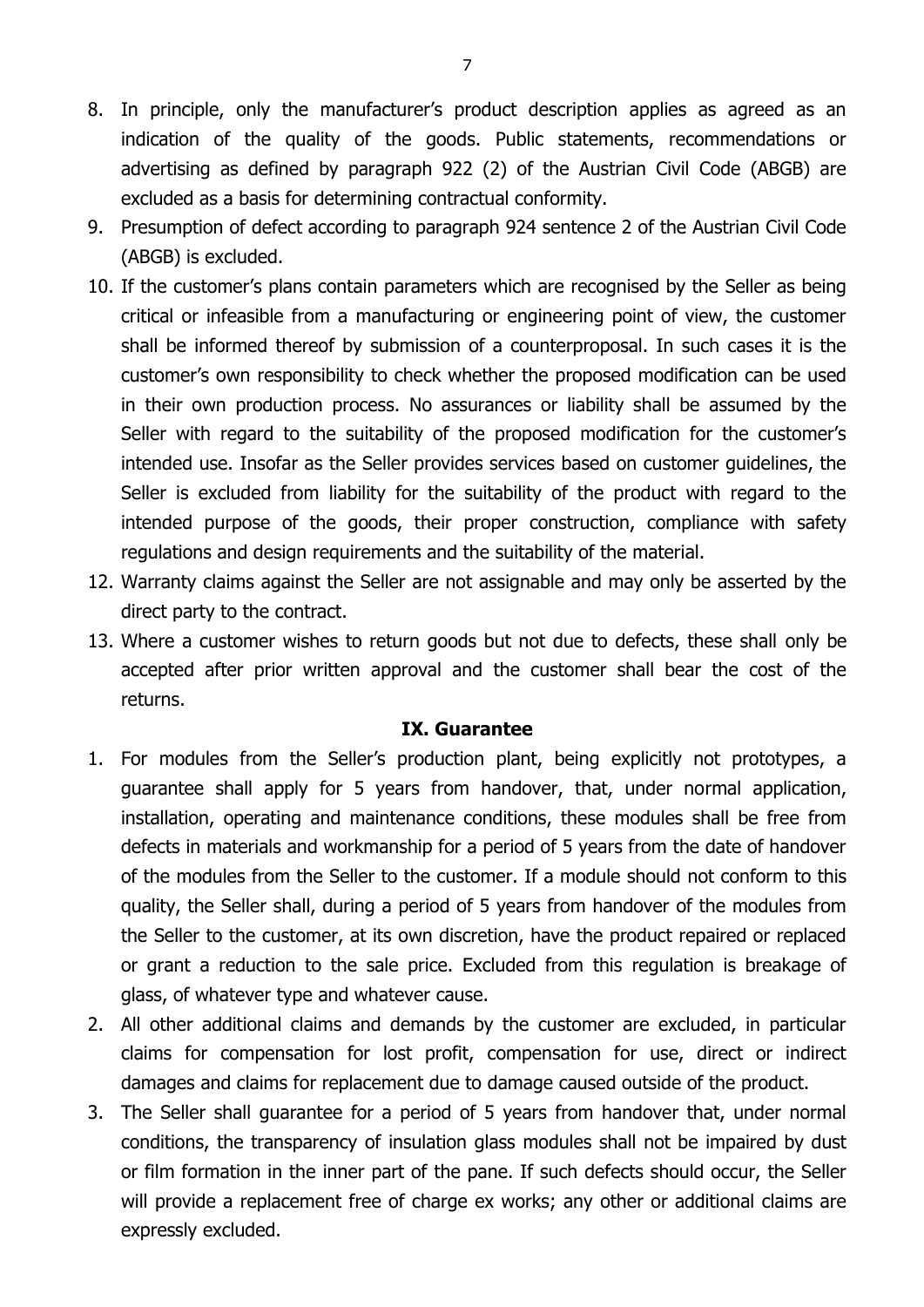- 8. In principle, only the manufacturer's product description applies as agreed as an indication of the quality of the goods. Public statements, recommendations or advertising as defined by paragraph 922 (2) of the Austrian Civil Code (ABGB) are excluded as a basis for determining contractual conformity.
- 9. Presumption of defect according to paragraph 924 sentence 2 of the Austrian Civil Code (ABGB) is excluded.
- 10. If the customer's plans contain parameters which are recognised by the Seller as being critical or infeasible from a manufacturing or engineering point of view, the customer shall be informed thereof by submission of a counterproposal. In such cases it is the customer's own responsibility to check whether the proposed modification can be used in their own production process. No assurances or liability shall be assumed by the Seller with regard to the suitability of the proposed modification for the customer's intended use. Insofar as the Seller provides services based on customer guidelines, the Seller is excluded from liability for the suitability of the product with regard to the intended purpose of the goods, their proper construction, compliance with safety regulations and design requirements and the suitability of the material.
- 12. Warranty claims against the Seller are not assignable and may only be asserted by the direct party to the contract.
- 13. Where a customer wishes to return goods but not due to defects, these shall only be accepted after prior written approval and the customer shall bear the cost of the returns.

#### **IX. Guarantee**

- 1. For modules from the Seller's production plant, being explicitly not prototypes, a guarantee shall apply for 5 years from handover, that, under normal application, installation, operating and maintenance conditions, these modules shall be free from defects in materials and workmanship for a period of 5 years from the date of handover of the modules from the Seller to the customer. If a module should not conform to this quality, the Seller shall, during a period of 5 years from handover of the modules from the Seller to the customer, at its own discretion, have the product repaired or replaced or grant a reduction to the sale price. Excluded from this regulation is breakage of glass, of whatever type and whatever cause.
- 2. All other additional claims and demands by the customer are excluded, in particular claims for compensation for lost profit, compensation for use, direct or indirect damages and claims for replacement due to damage caused outside of the product.
- 3. The Seller shall guarantee for a period of 5 years from handover that, under normal conditions, the transparency of insulation glass modules shall not be impaired by dust or film formation in the inner part of the pane. If such defects should occur, the Seller will provide a replacement free of charge ex works; any other or additional claims are expressly excluded.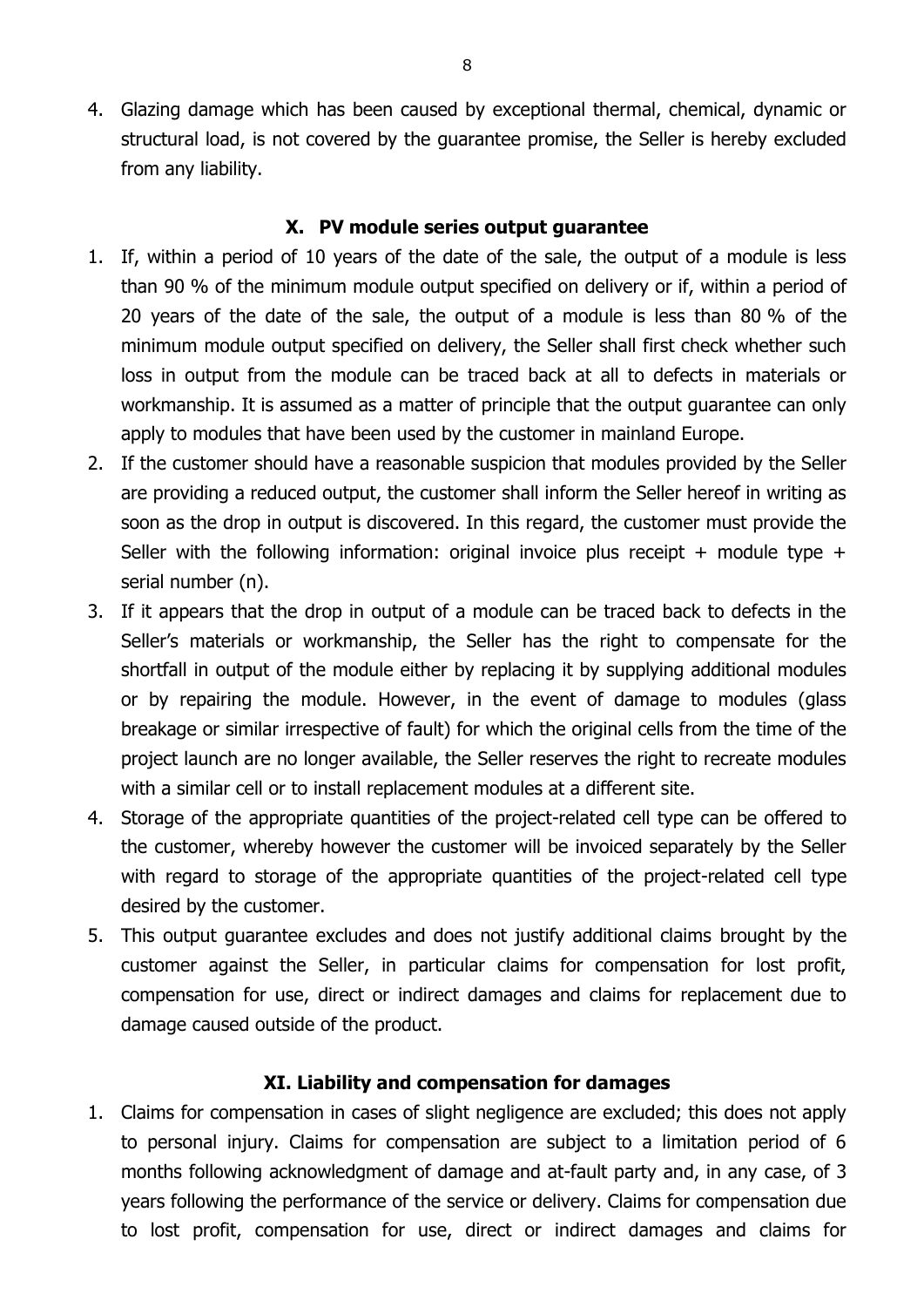4. Glazing damage which has been caused by exceptional thermal, chemical, dynamic or structural load, is not covered by the guarantee promise, the Seller is hereby excluded from any liability.

## **X. PV module series output guarantee**

- 1. If, within a period of 10 years of the date of the sale, the output of a module is less than 90 % of the minimum module output specified on delivery or if, within a period of 20 years of the date of the sale, the output of a module is less than 80 % of the minimum module output specified on delivery, the Seller shall first check whether such loss in output from the module can be traced back at all to defects in materials or workmanship. It is assumed as a matter of principle that the output guarantee can only apply to modules that have been used by the customer in mainland Europe.
- 2. If the customer should have a reasonable suspicion that modules provided by the Seller are providing a reduced output, the customer shall inform the Seller hereof in writing as soon as the drop in output is discovered. In this regard, the customer must provide the Seller with the following information: original invoice plus receipt + module type + serial number (n).
- 3. If it appears that the drop in output of a module can be traced back to defects in the Seller's materials or workmanship, the Seller has the right to compensate for the shortfall in output of the module either by replacing it by supplying additional modules or by repairing the module. However, in the event of damage to modules (glass breakage or similar irrespective of fault) for which the original cells from the time of the project launch are no longer available, the Seller reserves the right to recreate modules with a similar cell or to install replacement modules at a different site.
- 4. Storage of the appropriate quantities of the project-related cell type can be offered to the customer, whereby however the customer will be invoiced separately by the Seller with regard to storage of the appropriate quantities of the project-related cell type desired by the customer.
- 5. This output guarantee excludes and does not justify additional claims brought by the customer against the Seller, in particular claims for compensation for lost profit, compensation for use, direct or indirect damages and claims for replacement due to damage caused outside of the product.

#### **XI. Liability and compensation for damages**

1. Claims for compensation in cases of slight negligence are excluded; this does not apply to personal injury. Claims for compensation are subject to a limitation period of 6 months following acknowledgment of damage and at-fault party and, in any case, of 3 years following the performance of the service or delivery. Claims for compensation due to lost profit, compensation for use, direct or indirect damages and claims for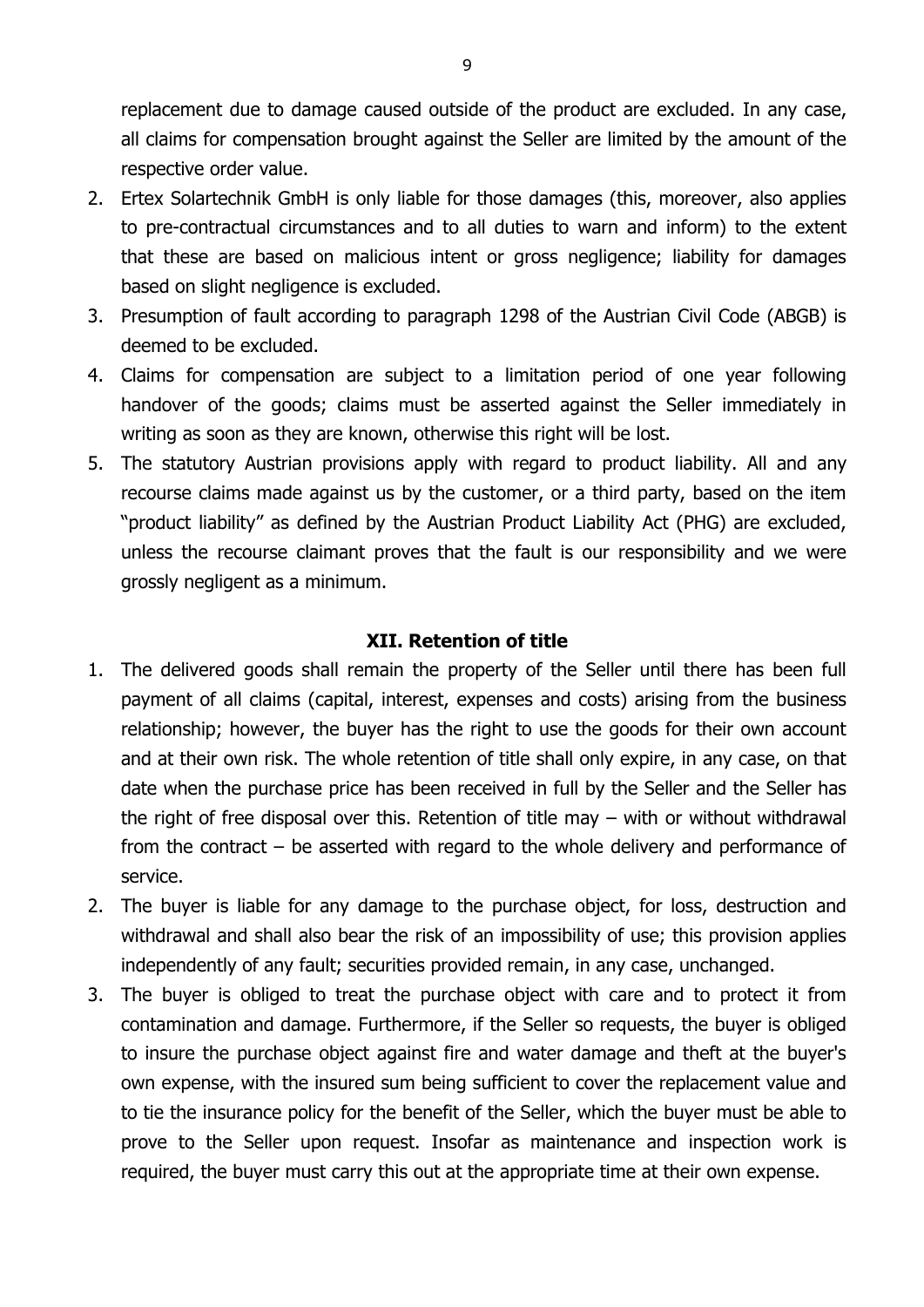replacement due to damage caused outside of the product are excluded. In any case, all claims for compensation brought against the Seller are limited by the amount of the respective order value.

- 2. Ertex Solartechnik GmbH is only liable for those damages (this, moreover, also applies to pre-contractual circumstances and to all duties to warn and inform) to the extent that these are based on malicious intent or gross negligence; liability for damages based on slight negligence is excluded.
- 3. Presumption of fault according to paragraph 1298 of the Austrian Civil Code (ABGB) is deemed to be excluded.
- 4. Claims for compensation are subject to a limitation period of one year following handover of the goods; claims must be asserted against the Seller immediately in writing as soon as they are known, otherwise this right will be lost.
- 5. The statutory Austrian provisions apply with regard to product liability. All and any recourse claims made against us by the customer, or a third party, based on the item "product liability" as defined by the Austrian Product Liability Act (PHG) are excluded, unless the recourse claimant proves that the fault is our responsibility and we were grossly negligent as a minimum.

## **XII. Retention of title**

- 1. The delivered goods shall remain the property of the Seller until there has been full payment of all claims (capital, interest, expenses and costs) arising from the business relationship; however, the buyer has the right to use the goods for their own account and at their own risk. The whole retention of title shall only expire, in any case, on that date when the purchase price has been received in full by the Seller and the Seller has the right of free disposal over this. Retention of title may – with or without withdrawal from the contract – be asserted with regard to the whole delivery and performance of service.
- 2. The buyer is liable for any damage to the purchase object, for loss, destruction and withdrawal and shall also bear the risk of an impossibility of use; this provision applies independently of any fault; securities provided remain, in any case, unchanged.
- 3. The buyer is obliged to treat the purchase object with care and to protect it from contamination and damage. Furthermore, if the Seller so requests, the buyer is obliged to insure the purchase object against fire and water damage and theft at the buyer's own expense, with the insured sum being sufficient to cover the replacement value and to tie the insurance policy for the benefit of the Seller, which the buyer must be able to prove to the Seller upon request. Insofar as maintenance and inspection work is required, the buyer must carry this out at the appropriate time at their own expense.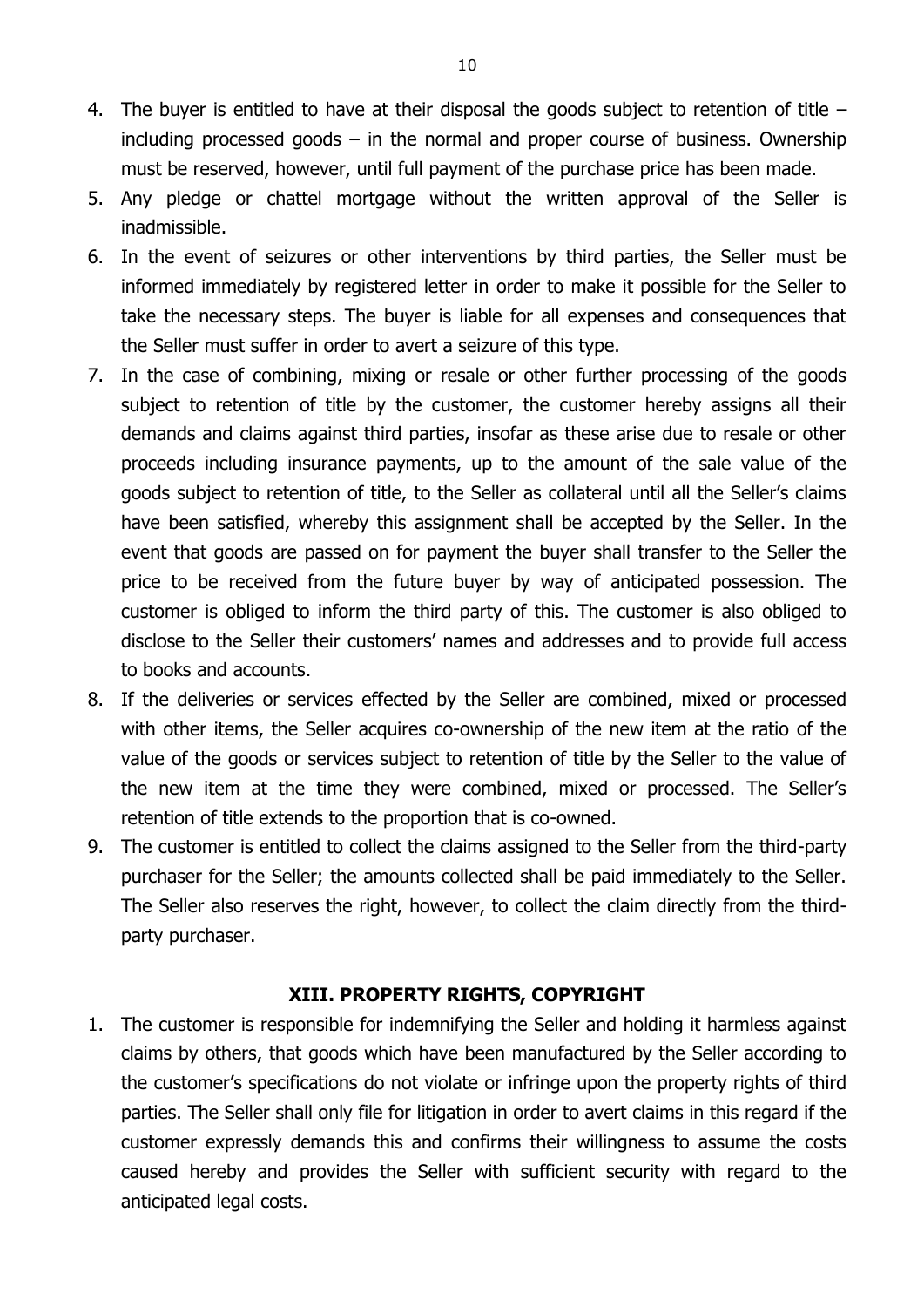- 4. The buyer is entitled to have at their disposal the goods subject to retention of title including processed goods  $-$  in the normal and proper course of business. Ownership must be reserved, however, until full payment of the purchase price has been made.
- 5. Any pledge or chattel mortgage without the written approval of the Seller is inadmissible.
- 6. In the event of seizures or other interventions by third parties, the Seller must be informed immediately by registered letter in order to make it possible for the Seller to take the necessary steps. The buyer is liable for all expenses and consequences that the Seller must suffer in order to avert a seizure of this type.
- 7. In the case of combining, mixing or resale or other further processing of the goods subject to retention of title by the customer, the customer hereby assigns all their demands and claims against third parties, insofar as these arise due to resale or other proceeds including insurance payments, up to the amount of the sale value of the goods subject to retention of title, to the Seller as collateral until all the Seller's claims have been satisfied, whereby this assignment shall be accepted by the Seller. In the event that goods are passed on for payment the buyer shall transfer to the Seller the price to be received from the future buyer by way of anticipated possession. The customer is obliged to inform the third party of this. The customer is also obliged to disclose to the Seller their customers' names and addresses and to provide full access to books and accounts.
- 8. If the deliveries or services effected by the Seller are combined, mixed or processed with other items, the Seller acquires co-ownership of the new item at the ratio of the value of the goods or services subject to retention of title by the Seller to the value of the new item at the time they were combined, mixed or processed. The Seller's retention of title extends to the proportion that is co-owned.
- 9. The customer is entitled to collect the claims assigned to the Seller from the third-party purchaser for the Seller; the amounts collected shall be paid immediately to the Seller. The Seller also reserves the right, however, to collect the claim directly from the thirdparty purchaser.

#### **XIII. PROPERTY RIGHTS, COPYRIGHT**

1. The customer is responsible for indemnifying the Seller and holding it harmless against claims by others, that goods which have been manufactured by the Seller according to the customer's specifications do not violate or infringe upon the property rights of third parties. The Seller shall only file for litigation in order to avert claims in this regard if the customer expressly demands this and confirms their willingness to assume the costs caused hereby and provides the Seller with sufficient security with regard to the anticipated legal costs.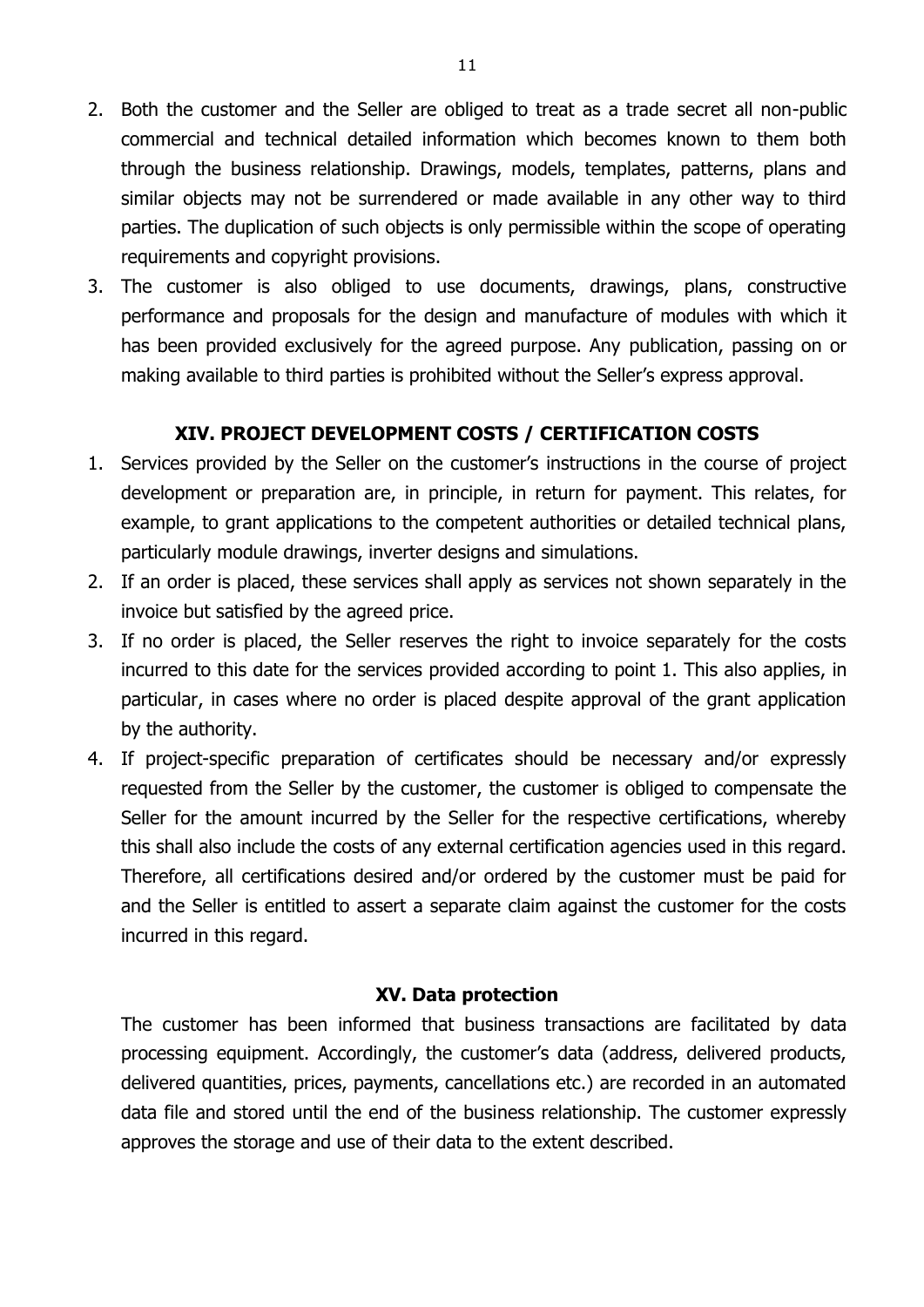- 2. Both the customer and the Seller are obliged to treat as a trade secret all non-public commercial and technical detailed information which becomes known to them both through the business relationship. Drawings, models, templates, patterns, plans and similar objects may not be surrendered or made available in any other way to third parties. The duplication of such objects is only permissible within the scope of operating requirements and copyright provisions.
- 3. The customer is also obliged to use documents, drawings, plans, constructive performance and proposals for the design and manufacture of modules with which it has been provided exclusively for the agreed purpose. Any publication, passing on or making available to third parties is prohibited without the Seller's express approval.

## **XIV. PROJECT DEVELOPMENT COSTS / CERTIFICATION COSTS**

- 1. Services provided by the Seller on the customer's instructions in the course of project development or preparation are, in principle, in return for payment. This relates, for example, to grant applications to the competent authorities or detailed technical plans, particularly module drawings, inverter designs and simulations.
- 2. If an order is placed, these services shall apply as services not shown separately in the invoice but satisfied by the agreed price.
- 3. If no order is placed, the Seller reserves the right to invoice separately for the costs incurred to this date for the services provided according to point 1. This also applies, in particular, in cases where no order is placed despite approval of the grant application by the authority.
- 4. If project-specific preparation of certificates should be necessary and/or expressly requested from the Seller by the customer, the customer is obliged to compensate the Seller for the amount incurred by the Seller for the respective certifications, whereby this shall also include the costs of any external certification agencies used in this regard. Therefore, all certifications desired and/or ordered by the customer must be paid for and the Seller is entitled to assert a separate claim against the customer for the costs incurred in this regard.

#### **XV. Data protection**

The customer has been informed that business transactions are facilitated by data processing equipment. Accordingly, the customer's data (address, delivered products, delivered quantities, prices, payments, cancellations etc.) are recorded in an automated data file and stored until the end of the business relationship. The customer expressly approves the storage and use of their data to the extent described.